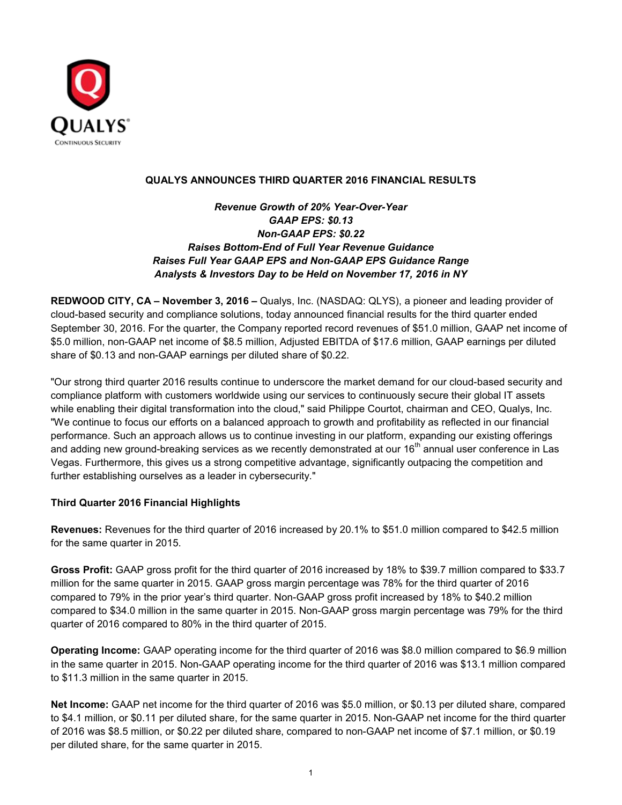

### **QUALYS ANNOUNCES THIRD QUARTER 2016 FINANCIAL RESULTS**

*Revenue Growth of 20% Year-Over-Year GAAP EPS: \$0.13 Non-GAAP EPS: \$0.22 Raises Bottom-End of Full Year Revenue Guidance Raises Full Year GAAP EPS and Non-GAAP EPS Guidance Range Analysts & Investors Day to be Held on November 17, 2016 in NY*

**REDWOOD CITY, CA – November 3, 2016 –** Qualys, Inc. (NASDAQ: QLYS), a pioneer and leading provider of cloud-based security and compliance solutions, today announced financial results for the third quarter ended September 30, 2016. For the quarter, the Company reported record revenues of \$51.0 million, GAAP net income of \$5.0 million, non-GAAP net income of \$8.5 million, Adjusted EBITDA of \$17.6 million, GAAP earnings per diluted share of \$0.13 and non-GAAP earnings per diluted share of \$0.22.

"Our strong third quarter 2016 results continue to underscore the market demand for our cloud-based security and compliance platform with customers worldwide using our services to continuously secure their global IT assets while enabling their digital transformation into the cloud," said Philippe Courtot, chairman and CEO, Qualys, Inc. "We continue to focus our efforts on a balanced approach to growth and profitability as reflected in our financial performance. Such an approach allows us to continue investing in our platform, expanding our existing offerings and adding new ground-breaking services as we recently demonstrated at our 16<sup>th</sup> annual user conference in Las Vegas. Furthermore, this gives us a strong competitive advantage, significantly outpacing the competition and further establishing ourselves as a leader in cybersecurity."

### **Third Quarter 2016 Financial Highlights**

**Revenues:** Revenues for the third quarter of 2016 increased by 20.1% to \$51.0 million compared to \$42.5 million for the same quarter in 2015.

**Gross Profit:** GAAP gross profit for the third quarter of 2016 increased by 18% to \$39.7 million compared to \$33.7 million for the same quarter in 2015. GAAP gross margin percentage was 78% for the third quarter of 2016 compared to 79% in the prior year's third quarter. Non-GAAP gross profit increased by 18% to \$40.2 million compared to \$34.0 million in the same quarter in 2015. Non-GAAP gross margin percentage was 79% for the third quarter of 2016 compared to 80% in the third quarter of 2015.

**Operating Income:** GAAP operating income for the third quarter of 2016 was \$8.0 million compared to \$6.9 million in the same quarter in 2015. Non-GAAP operating income for the third quarter of 2016 was \$13.1 million compared to \$11.3 million in the same quarter in 2015.

**Net Income:** GAAP net income for the third quarter of 2016 was \$5.0 million, or \$0.13 per diluted share, compared to \$4.1 million, or \$0.11 per diluted share, for the same quarter in 2015. Non-GAAP net income for the third quarter of 2016 was \$8.5 million, or \$0.22 per diluted share, compared to non-GAAP net income of \$7.1 million, or \$0.19 per diluted share, for the same quarter in 2015.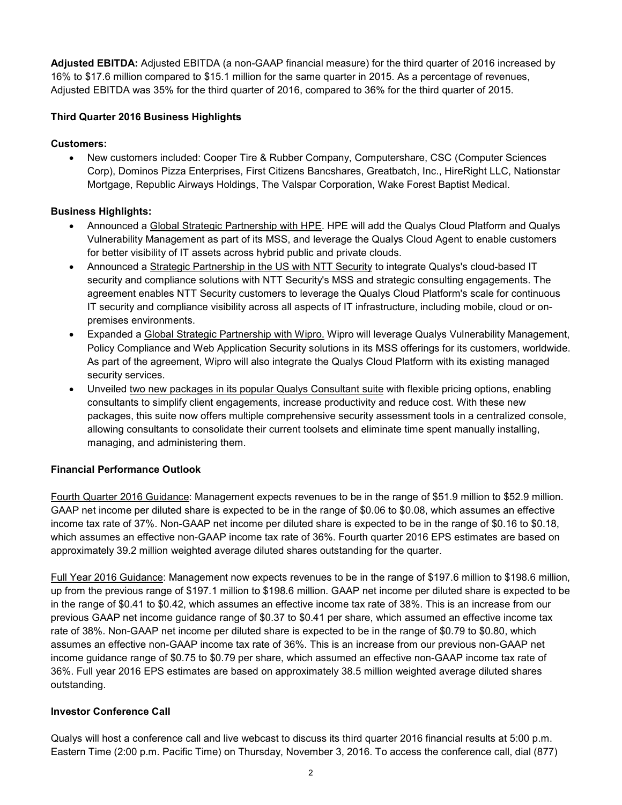**Adjusted EBITDA:** Adjusted EBITDA (a non-GAAP financial measure) for the third quarter of 2016 increased by 16% to \$17.6 million compared to \$15.1 million for the same quarter in 2015. As a percentage of revenues, Adjusted EBITDA was 35% for the third quarter of 2016, compared to 36% for the third quarter of 2015.

# **Third Quarter 2016 Business Highlights**

## **Customers:**

• New customers included: Cooper Tire & Rubber Company, Computershare, CSC (Computer Sciences Corp), Dominos Pizza Enterprises, First Citizens Bancshares, Greatbatch, Inc., HireRight LLC, Nationstar Mortgage, Republic Airways Holdings, The Valspar Corporation, Wake Forest Baptist Medical.

## **Business Highlights:**

- Announced a Global Strategic Partnership with HPE. HPE will add the Qualys Cloud Platform and Qualys Vulnerability Management as part of its MSS, and leverage the Qualys Cloud Agent to enable customers for better visibility of IT assets across hybrid public and private clouds.
- Announced a Strategic Partnership in the US with NTT Security to integrate Qualys's cloud-based IT security and compliance solutions with NTT Security's MSS and strategic consulting engagements. The agreement enables NTT Security customers to leverage the Qualys Cloud Platform's scale for continuous IT security and compliance visibility across all aspects of IT infrastructure, including mobile, cloud or onpremises environments.
- Expanded a Global Strategic Partnership with Wipro. Wipro will leverage Qualys Vulnerability Management, Policy Compliance and Web Application Security solutions in its MSS offerings for its customers, worldwide. As part of the agreement, Wipro will also integrate the Qualys Cloud Platform with its existing managed security services.
- Unveiled two new packages in its popular Qualys Consultant suite with flexible pricing options, enabling consultants to simplify client engagements, increase productivity and reduce cost. With these new packages, this suite now offers multiple comprehensive security assessment tools in a centralized console, allowing consultants to consolidate their current toolsets and eliminate time spent manually installing, managing, and administering them.

# **Financial Performance Outlook**

Fourth Quarter 2016 Guidance: Management expects revenues to be in the range of \$51.9 million to \$52.9 million. GAAP net income per diluted share is expected to be in the range of \$0.06 to \$0.08, which assumes an effective income tax rate of 37%. Non-GAAP net income per diluted share is expected to be in the range of \$0.16 to \$0.18, which assumes an effective non-GAAP income tax rate of 36%. Fourth quarter 2016 EPS estimates are based on approximately 39.2 million weighted average diluted shares outstanding for the quarter.

Full Year 2016 Guidance: Management now expects revenues to be in the range of \$197.6 million to \$198.6 million, up from the previous range of \$197.1 million to \$198.6 million. GAAP net income per diluted share is expected to be in the range of \$0.41 to \$0.42, which assumes an effective income tax rate of 38%. This is an increase from our previous GAAP net income guidance range of \$0.37 to \$0.41 per share, which assumed an effective income tax rate of 38%. Non-GAAP net income per diluted share is expected to be in the range of \$0.79 to \$0.80, which assumes an effective non-GAAP income tax rate of 36%. This is an increase from our previous non-GAAP net income guidance range of \$0.75 to \$0.79 per share, which assumed an effective non-GAAP income tax rate of 36%. Full year 2016 EPS estimates are based on approximately 38.5 million weighted average diluted shares outstanding.

### **Investor Conference Call**

Qualys will host a conference call and live webcast to discuss its third quarter 2016 financial results at 5:00 p.m. Eastern Time (2:00 p.m. Pacific Time) on Thursday, November 3, 2016. To access the conference call, dial (877)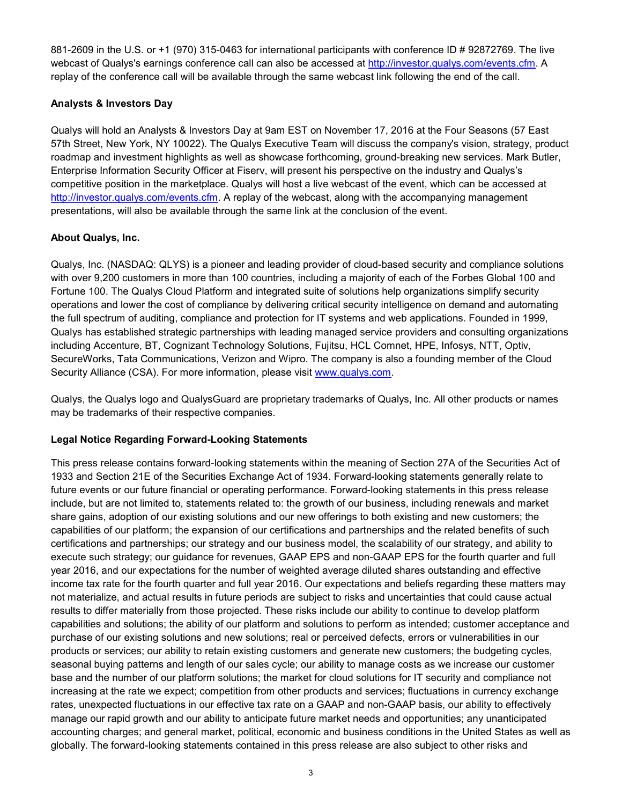881-2609 in the U.S. or +1 (970) 315-0463 for international participants with conference ID # 92872769. The live webcast of Qualys's earnings conference call can also be accessed at [http://investor.qualys.com/events.cfm.](http://investor.qualys.com/events.cfm) A replay of the conference call will be available through the same webcast link following the end of the call.

# **Analysts & Investors Day**

Qualys will hold an Analysts & Investors Day at 9am EST on November 17, 2016 at the Four Seasons (57 East 57th Street, New York, NY 10022). The Qualys Executive Team will discuss the company's vision, strategy, product roadmap and investment highlights as well as showcase forthcoming, ground-breaking new services. Mark Butler, Enterprise Information Security Officer at Fiserv, will present his perspective on the industry and Qualys's competitive position in the marketplace. Qualys will host a live webcast of the event, which can be accessed at [http://investor.qualys.com/events.cfm.](http://investor.qualys.com/events.cfm) A replay of the webcast, along with the accompanying management presentations, will also be available through the same link at the conclusion of the event.

## **About Qualys, Inc.**

Qualys, Inc. (NASDAQ: QLYS) is a pioneer and leading provider of cloud-based security and compliance solutions with over 9,200 customers in more than 100 countries, including a majority of each of the Forbes Global 100 and Fortune 100. The Qualys Cloud Platform and integrated suite of solutions help organizations simplify security operations and lower the cost of compliance by delivering critical security intelligence on demand and automating the full spectrum of auditing, compliance and protection for IT systems and web applications. Founded in 1999, Qualys has established strategic partnerships with leading managed service providers and consulting organizations including Accenture, BT, Cognizant Technology Solutions, Fujitsu, HCL Comnet, HPE, Infosys, NTT, Optiv, SecureWorks, Tata Communications, Verizon and Wipro. The company is also a founding member of the Cloud Security Alliance (CSA). For more information, please visit [www.qualys.com.](http://www.qualys.com/)

Qualys, the Qualys logo and QualysGuard are proprietary trademarks of Qualys, Inc. All other products or names may be trademarks of their respective companies.

### **Legal Notice Regarding Forward-Looking Statements**

This press release contains forward-looking statements within the meaning of Section 27A of the Securities Act of 1933 and Section 21E of the Securities Exchange Act of 1934. Forward-looking statements generally relate to future events or our future financial or operating performance. Forward-looking statements in this press release include, but are not limited to, statements related to: the growth of our business, including renewals and market share gains, adoption of our existing solutions and our new offerings to both existing and new customers; the capabilities of our platform; the expansion of our certifications and partnerships and the related benefits of such certifications and partnerships; our strategy and our business model, the scalability of our strategy, and ability to execute such strategy; our guidance for revenues, GAAP EPS and non-GAAP EPS for the fourth quarter and full year 2016, and our expectations for the number of weighted average diluted shares outstanding and effective income tax rate for the fourth quarter and full year 2016. Our expectations and beliefs regarding these matters may not materialize, and actual results in future periods are subject to risks and uncertainties that could cause actual results to differ materially from those projected. These risks include our ability to continue to develop platform capabilities and solutions; the ability of our platform and solutions to perform as intended; customer acceptance and purchase of our existing solutions and new solutions; real or perceived defects, errors or vulnerabilities in our products or services; our ability to retain existing customers and generate new customers; the budgeting cycles, seasonal buying patterns and length of our sales cycle; our ability to manage costs as we increase our customer base and the number of our platform solutions; the market for cloud solutions for IT security and compliance not increasing at the rate we expect; competition from other products and services; fluctuations in currency exchange rates, unexpected fluctuations in our effective tax rate on a GAAP and non-GAAP basis, our ability to effectively manage our rapid growth and our ability to anticipate future market needs and opportunities; any unanticipated accounting charges; and general market, political, economic and business conditions in the United States as well as globally. The forward-looking statements contained in this press release are also subject to other risks and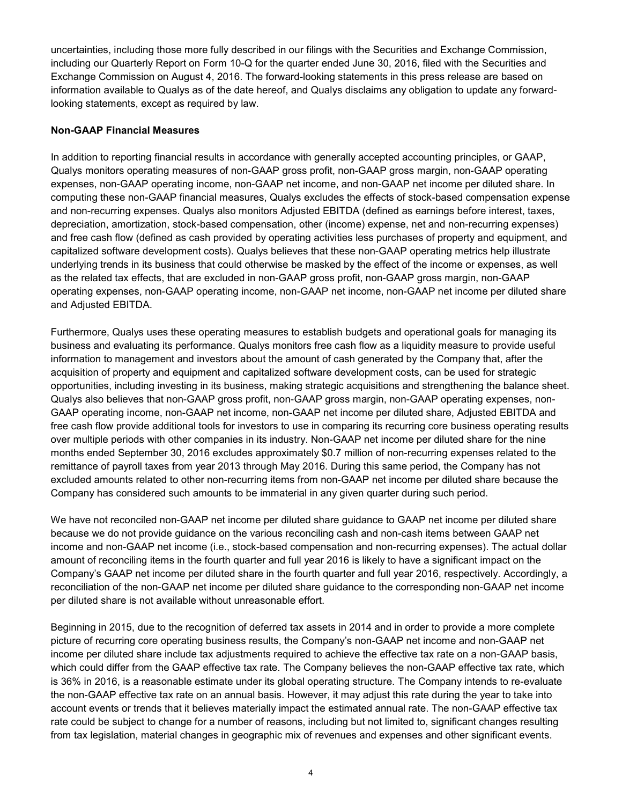uncertainties, including those more fully described in our filings with the Securities and Exchange Commission, including our Quarterly Report on Form 10-Q for the quarter ended June 30, 2016, filed with the Securities and Exchange Commission on August 4, 2016. The forward-looking statements in this press release are based on information available to Qualys as of the date hereof, and Qualys disclaims any obligation to update any forwardlooking statements, except as required by law.

### **Non-GAAP Financial Measures**

In addition to reporting financial results in accordance with generally accepted accounting principles, or GAAP, Qualys monitors operating measures of non-GAAP gross profit, non-GAAP gross margin, non-GAAP operating expenses, non-GAAP operating income, non-GAAP net income, and non-GAAP net income per diluted share. In computing these non-GAAP financial measures, Qualys excludes the effects of stock-based compensation expense and non-recurring expenses. Qualys also monitors Adjusted EBITDA (defined as earnings before interest, taxes, depreciation, amortization, stock-based compensation, other (income) expense, net and non-recurring expenses) and free cash flow (defined as cash provided by operating activities less purchases of property and equipment, and capitalized software development costs). Qualys believes that these non-GAAP operating metrics help illustrate underlying trends in its business that could otherwise be masked by the effect of the income or expenses, as well as the related tax effects, that are excluded in non-GAAP gross profit, non-GAAP gross margin, non-GAAP operating expenses, non-GAAP operating income, non-GAAP net income, non-GAAP net income per diluted share and Adjusted EBITDA.

Furthermore, Qualys uses these operating measures to establish budgets and operational goals for managing its business and evaluating its performance. Qualys monitors free cash flow as a liquidity measure to provide useful information to management and investors about the amount of cash generated by the Company that, after the acquisition of property and equipment and capitalized software development costs, can be used for strategic opportunities, including investing in its business, making strategic acquisitions and strengthening the balance sheet. Qualys also believes that non-GAAP gross profit, non-GAAP gross margin, non-GAAP operating expenses, non-GAAP operating income, non-GAAP net income, non-GAAP net income per diluted share, Adjusted EBITDA and free cash flow provide additional tools for investors to use in comparing its recurring core business operating results over multiple periods with other companies in its industry. Non-GAAP net income per diluted share for the nine months ended September 30, 2016 excludes approximately \$0.7 million of non-recurring expenses related to the remittance of payroll taxes from year 2013 through May 2016. During this same period, the Company has not excluded amounts related to other non-recurring items from non-GAAP net income per diluted share because the Company has considered such amounts to be immaterial in any given quarter during such period.

We have not reconciled non-GAAP net income per diluted share guidance to GAAP net income per diluted share because we do not provide guidance on the various reconciling cash and non-cash items between GAAP net income and non-GAAP net income (i.e., stock-based compensation and non-recurring expenses). The actual dollar amount of reconciling items in the fourth quarter and full year 2016 is likely to have a significant impact on the Company's GAAP net income per diluted share in the fourth quarter and full year 2016, respectively. Accordingly, a reconciliation of the non-GAAP net income per diluted share guidance to the corresponding non-GAAP net income per diluted share is not available without unreasonable effort.

Beginning in 2015, due to the recognition of deferred tax assets in 2014 and in order to provide a more complete picture of recurring core operating business results, the Company's non-GAAP net income and non-GAAP net income per diluted share include tax adjustments required to achieve the effective tax rate on a non-GAAP basis, which could differ from the GAAP effective tax rate. The Company believes the non-GAAP effective tax rate, which is 36% in 2016, is a reasonable estimate under its global operating structure. The Company intends to re-evaluate the non-GAAP effective tax rate on an annual basis. However, it may adjust this rate during the year to take into account events or trends that it believes materially impact the estimated annual rate. The non-GAAP effective tax rate could be subject to change for a number of reasons, including but not limited to, significant changes resulting from tax legislation, material changes in geographic mix of revenues and expenses and other significant events.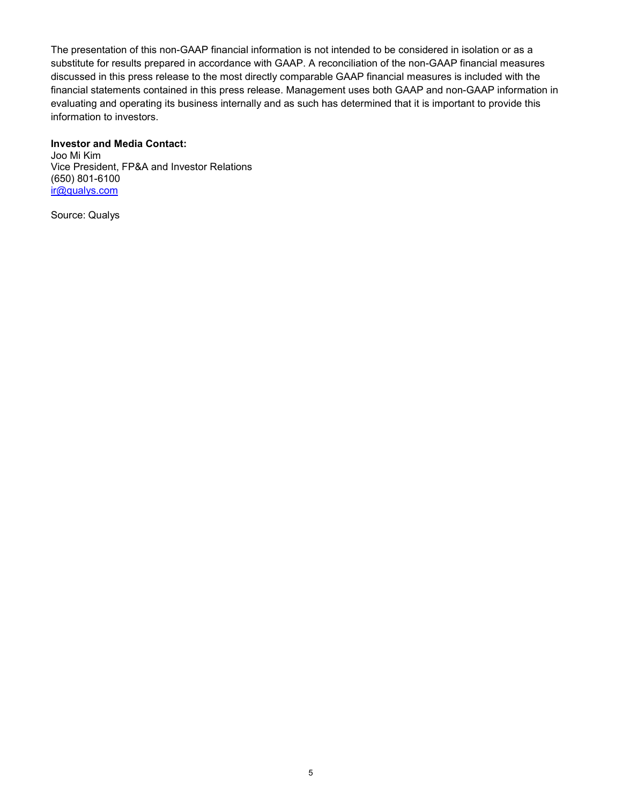The presentation of this non-GAAP financial information is not intended to be considered in isolation or as a substitute for results prepared in accordance with GAAP. A reconciliation of the non-GAAP financial measures discussed in this press release to the most directly comparable GAAP financial measures is included with the financial statements contained in this press release. Management uses both GAAP and non-GAAP information in evaluating and operating its business internally and as such has determined that it is important to provide this information to investors.

### **Investor and Media Contact:**

Joo Mi Kim Vice President, FP&A and Investor Relations (650) 801-6100 [ir@qualys.com](mailto:ir@qualys.com)

Source: Qualys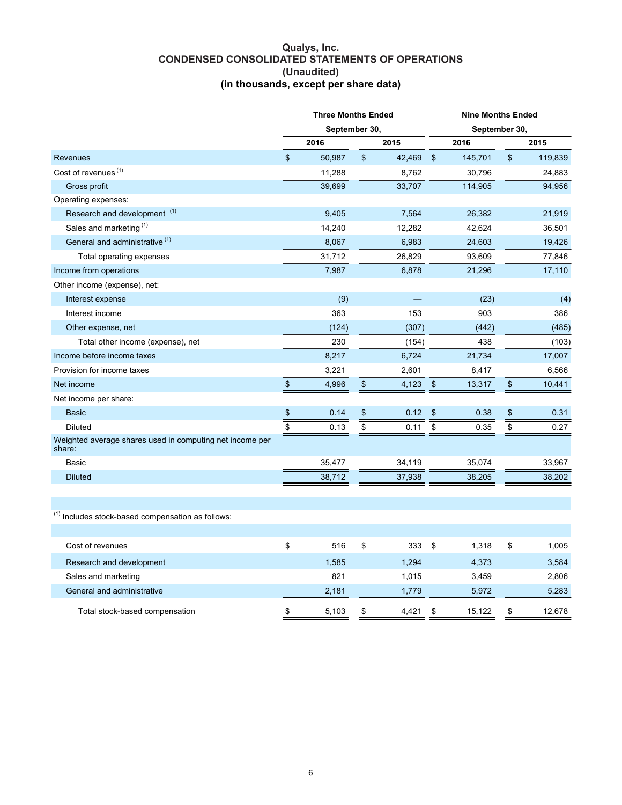#### **Qualys, Inc. CONDENSED CONSOLIDATED STATEMENTS OF OPERATIONS (Unaudited) (in thousands, except per share data)**

|                                                                    | <b>Three Months Ended</b> |               |                 |        | <b>Nine Months Ended</b> |         |                          |         |
|--------------------------------------------------------------------|---------------------------|---------------|-----------------|--------|--------------------------|---------|--------------------------|---------|
|                                                                    |                           | September 30, |                 |        | September 30,            |         |                          |         |
|                                                                    |                           | 2016          |                 | 2015   |                          | 2016    |                          | 2015    |
| Revenues                                                           | \$                        | 50,987        | $\,$            | 42,469 | $\mathfrak{s}$           | 145,701 | \$                       | 119,839 |
| Cost of revenues <sup>(1)</sup>                                    |                           | 11,288        |                 | 8,762  |                          | 30,796  |                          | 24,883  |
| Gross profit                                                       |                           | 39,699        |                 | 33,707 |                          | 114,905 |                          | 94,956  |
| Operating expenses:                                                |                           |               |                 |        |                          |         |                          |         |
| Research and development <sup>(1)</sup>                            |                           | 9,405         |                 | 7,564  |                          | 26,382  |                          | 21,919  |
| Sales and marketing <sup>(1)</sup>                                 |                           | 14,240        |                 | 12,282 |                          | 42,624  |                          | 36,501  |
| General and administrative <sup>(1)</sup>                          |                           | 8,067         |                 | 6,983  |                          | 24,603  |                          | 19,426  |
| Total operating expenses                                           |                           | 31,712        |                 | 26,829 |                          | 93,609  |                          | 77,846  |
| Income from operations                                             |                           | 7,987         |                 | 6,878  |                          | 21,296  |                          | 17,110  |
| Other income (expense), net:                                       |                           |               |                 |        |                          |         |                          |         |
| Interest expense                                                   |                           | (9)           |                 |        |                          | (23)    |                          | (4)     |
| Interest income                                                    |                           | 363           |                 | 153    |                          | 903     |                          | 386     |
| Other expense, net                                                 |                           | (124)         |                 | (307)  |                          | (442)   |                          | (485)   |
| Total other income (expense), net                                  |                           | 230           |                 | (154)  |                          | 438     |                          | (103)   |
| Income before income taxes                                         |                           | 8,217         |                 | 6,724  |                          | 21,734  |                          | 17,007  |
| Provision for income taxes                                         |                           | 3,221         |                 | 2,601  |                          | 8,417   |                          | 6,566   |
| Net income                                                         | $\sqrt[6]{\frac{1}{2}}$   | 4,996         | $\,$            | 4,123  | $\frac{1}{2}$            | 13,317  | $\,$                     | 10,441  |
| Net income per share:                                              |                           |               |                 |        |                          |         |                          |         |
| <b>Basic</b>                                                       | $\frac{3}{2}$             | 0.14          | \$              | 0.12   | \$                       | 0.38    | \$                       | 0.31    |
| <b>Diluted</b>                                                     | $\overline{\$}$           | 0.13          | $\overline{\$}$ | 0.11   | \$                       | 0.35    | $\overline{\mathcal{S}}$ | 0.27    |
| Weighted average shares used in computing net income per<br>share: |                           |               |                 |        |                          |         |                          |         |
| Basic                                                              |                           | 35,477        |                 | 34,119 |                          | 35,074  |                          | 33,967  |
| <b>Diluted</b>                                                     |                           | 38,712        |                 | 37,938 |                          | 38,205  |                          | 38,202  |
|                                                                    |                           |               |                 |        |                          |         |                          |         |
| <sup>(1)</sup> Includes stock-based compensation as follows:       |                           |               |                 |        |                          |         |                          |         |
| Cost of revenues                                                   | \$                        | 516           | \$              | 333    | \$                       | 1,318   | \$                       | 1,005   |
| Research and development                                           |                           | 1,585         |                 | 1,294  |                          | 4,373   |                          | 3,584   |
| Sales and marketing                                                |                           | 821           |                 | 1,015  |                          | 3,459   |                          | 2,806   |
| General and administrative                                         |                           | 2,181         |                 | 1,779  |                          | 5,972   |                          | 5,283   |
| Total stock-based compensation                                     | \$                        | 5,103         | \$              | 4,421  | \$                       | 15,122  | \$                       | 12,678  |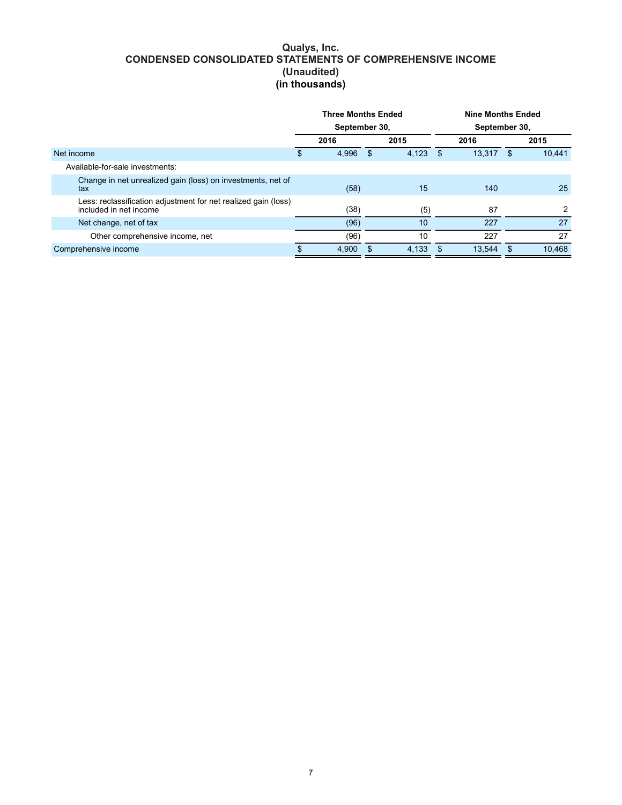#### **Qualys, Inc. CONDENSED CONSOLIDATED STATEMENTS OF COMPREHENSIVE INCOME (Unaudited) (in thousands)**

|                                                                                          | <b>Three Months Ended</b><br>September 30, |       |          | <b>Nine Months Ended</b> |    |        |               |        |
|------------------------------------------------------------------------------------------|--------------------------------------------|-------|----------|--------------------------|----|--------|---------------|--------|
|                                                                                          |                                            |       |          | September 30,            |    |        |               |        |
|                                                                                          |                                            | 2016  |          | 2015                     |    | 2016   |               | 2015   |
| Net income                                                                               | \$                                         | 4.996 | - \$     | 4.123                    | \$ | 13.317 | \$.           | 10.441 |
| Available-for-sale investments:                                                          |                                            |       |          |                          |    |        |               |        |
| Change in net unrealized gain (loss) on investments, net of<br>tax                       |                                            | (58)  |          | 15                       |    | 140    |               | 25     |
| Less: reclassification adjustment for net realized gain (loss)<br>included in net income |                                            | (38)  |          | (5)                      |    | 87     |               | 2      |
| Net change, net of tax                                                                   |                                            | (96)  |          | 10                       |    | 227    |               | 27     |
| Other comprehensive income, net                                                          |                                            | (96)  |          | 10                       |    | 227    |               | 27     |
| Comprehensive income                                                                     | S                                          | 4.900 | <b>S</b> | 4.133                    | \$ | 13.544 | $\mathbf{\$}$ | 10.468 |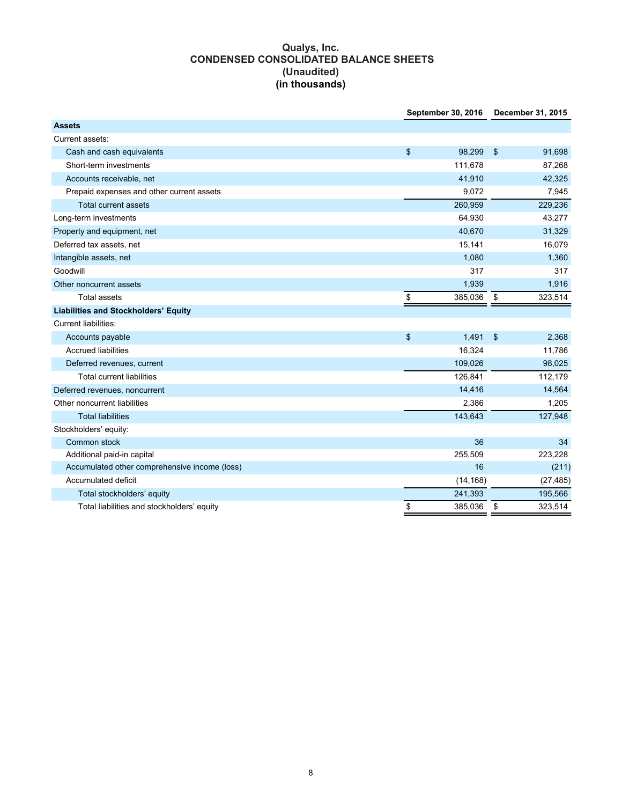### **Qualys, Inc. CONDENSED CONSOLIDATED BALANCE SHEETS (Unaudited) (in thousands)**

|                                               | September 30, 2016 | December 31, 2015 |           |  |
|-----------------------------------------------|--------------------|-------------------|-----------|--|
| <b>Assets</b>                                 |                    |                   |           |  |
| Current assets:                               |                    |                   |           |  |
| Cash and cash equivalents                     | \$<br>98,299       | \$                | 91,698    |  |
| Short-term investments                        | 111,678            |                   | 87,268    |  |
| Accounts receivable, net                      | 41,910             |                   | 42,325    |  |
| Prepaid expenses and other current assets     | 9,072              |                   | 7,945     |  |
| <b>Total current assets</b>                   | 260,959            |                   | 229,236   |  |
| Long-term investments                         | 64,930             |                   | 43,277    |  |
| Property and equipment, net                   | 40,670             |                   | 31,329    |  |
| Deferred tax assets, net                      | 15,141             |                   | 16,079    |  |
| Intangible assets, net                        | 1,080              |                   | 1,360     |  |
| Goodwill                                      | 317                |                   | 317       |  |
| Other noncurrent assets                       | 1,939              |                   | 1,916     |  |
| <b>Total assets</b>                           | \$<br>385,036      | \$                | 323,514   |  |
| <b>Liabilities and Stockholders' Equity</b>   |                    |                   |           |  |
| <b>Current liabilities:</b>                   |                    |                   |           |  |
| Accounts payable                              | \$<br>1,491        | \$                | 2,368     |  |
| <b>Accrued liabilities</b>                    | 16,324             |                   | 11,786    |  |
| Deferred revenues, current                    | 109,026            |                   | 98,025    |  |
| <b>Total current liabilities</b>              | 126,841            |                   | 112,179   |  |
| Deferred revenues, noncurrent                 | 14,416             |                   | 14,564    |  |
| Other noncurrent liabilities                  | 2,386              |                   | 1,205     |  |
| <b>Total liabilities</b>                      | 143,643            |                   | 127,948   |  |
| Stockholders' equity:                         |                    |                   |           |  |
| Common stock                                  | 36                 |                   | 34        |  |
| Additional paid-in capital                    | 255,509            |                   | 223,228   |  |
| Accumulated other comprehensive income (loss) | 16                 |                   | (211)     |  |
| Accumulated deficit                           | (14, 168)          |                   | (27, 485) |  |
| Total stockholders' equity                    | 241,393            |                   | 195,566   |  |
| Total liabilities and stockholders' equity    | \$<br>385,036      | \$                | 323,514   |  |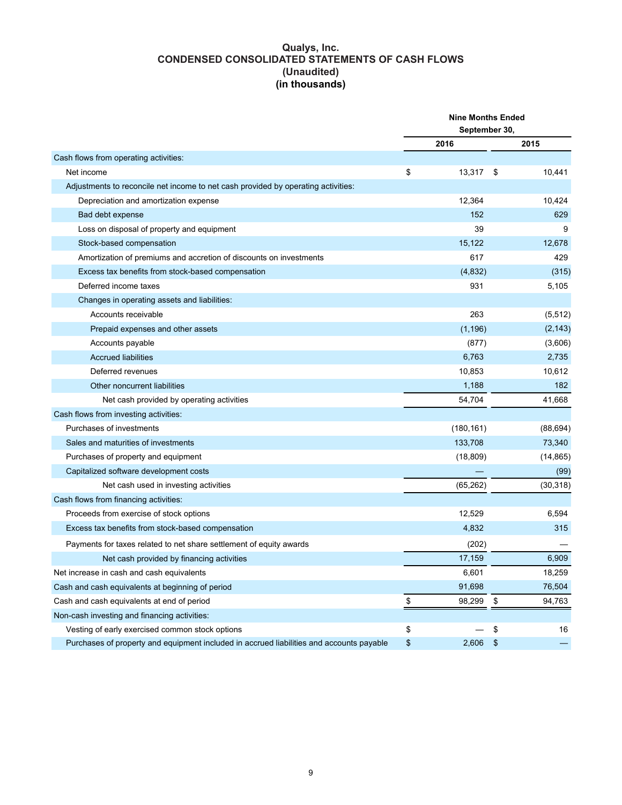#### **Qualys, Inc. CONDENSED CONSOLIDATED STATEMENTS OF CASH FLOWS (Unaudited) (in thousands)**

|                                                                                          | <b>Nine Months Ended</b> |            |                   |           |  |
|------------------------------------------------------------------------------------------|--------------------------|------------|-------------------|-----------|--|
|                                                                                          | September 30,            |            |                   |           |  |
|                                                                                          |                          | 2016       |                   | 2015      |  |
| Cash flows from operating activities:                                                    |                          |            |                   |           |  |
| Net income                                                                               | \$                       | 13,317     | - \$              | 10,441    |  |
| Adjustments to reconcile net income to net cash provided by operating activities:        |                          |            |                   |           |  |
| Depreciation and amortization expense                                                    |                          | 12,364     |                   | 10,424    |  |
| Bad debt expense                                                                         |                          | 152        |                   | 629       |  |
| Loss on disposal of property and equipment                                               |                          | 39         |                   | 9         |  |
| Stock-based compensation                                                                 |                          | 15,122     |                   | 12,678    |  |
| Amortization of premiums and accretion of discounts on investments                       |                          | 617        |                   | 429       |  |
| Excess tax benefits from stock-based compensation                                        |                          | (4, 832)   |                   | (315)     |  |
| Deferred income taxes                                                                    |                          | 931        |                   | 5,105     |  |
| Changes in operating assets and liabilities:                                             |                          |            |                   |           |  |
| Accounts receivable                                                                      |                          | 263        |                   | (5,512)   |  |
| Prepaid expenses and other assets                                                        |                          | (1, 196)   |                   | (2, 143)  |  |
| Accounts payable                                                                         |                          | (877)      |                   | (3,606)   |  |
| <b>Accrued liabilities</b>                                                               |                          | 6,763      |                   | 2,735     |  |
| Deferred revenues                                                                        |                          | 10,853     |                   | 10,612    |  |
| Other noncurrent liabilities                                                             |                          | 1,188      |                   | 182       |  |
| Net cash provided by operating activities                                                |                          | 54,704     |                   | 41,668    |  |
| Cash flows from investing activities:                                                    |                          |            |                   |           |  |
| Purchases of investments                                                                 |                          | (180, 161) |                   | (88, 694) |  |
| Sales and maturities of investments                                                      |                          | 133,708    |                   | 73,340    |  |
| Purchases of property and equipment                                                      |                          | (18, 809)  |                   | (14, 865) |  |
| Capitalized software development costs                                                   |                          |            |                   | (99)      |  |
| Net cash used in investing activities                                                    |                          | (65, 262)  |                   | (30, 318) |  |
| Cash flows from financing activities:                                                    |                          |            |                   |           |  |
| Proceeds from exercise of stock options                                                  |                          | 12,529     |                   | 6,594     |  |
| Excess tax benefits from stock-based compensation                                        |                          | 4,832      |                   | 315       |  |
| Payments for taxes related to net share settlement of equity awards                      |                          | (202)      |                   |           |  |
| Net cash provided by financing activities                                                |                          | 17,159     |                   | 6,909     |  |
| Net increase in cash and cash equivalents                                                |                          | 6,601      |                   | 18,259    |  |
| Cash and cash equivalents at beginning of period                                         |                          | 91,698     |                   | 76,504    |  |
| Cash and cash equivalents at end of period                                               | \$                       | 98,299     | \$                | 94,763    |  |
| Non-cash investing and financing activities:                                             |                          |            |                   |           |  |
| Vesting of early exercised common stock options                                          | \$                       |            | \$                | 16        |  |
| Purchases of property and equipment included in accrued liabilities and accounts payable | $\frac{1}{2}$            | 2,606      | $\boldsymbol{\$}$ |           |  |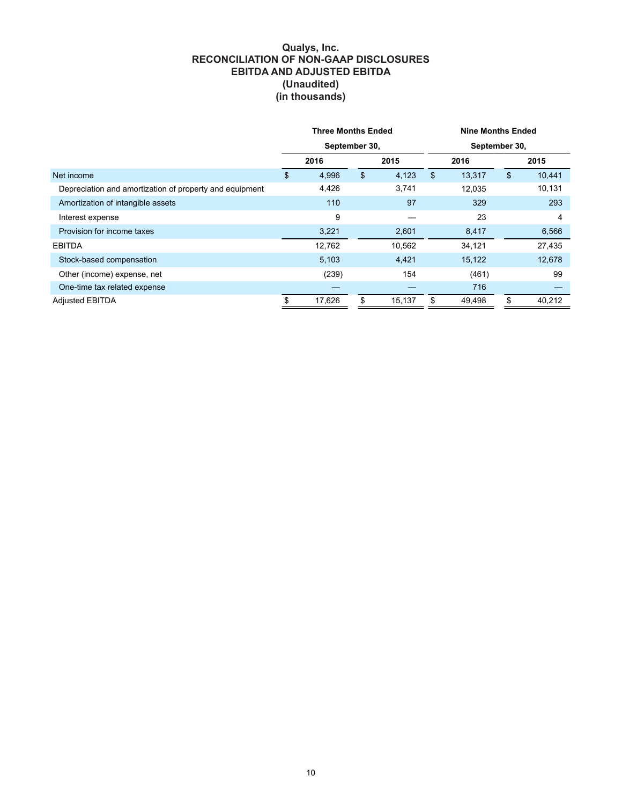#### **Qualys, Inc. RECONCILIATION OF NON-GAAP DISCLOSURES EBITDA AND ADJUSTED EBITDA (Unaudited) (in thousands)**

|                                                         | <b>Three Months Ended</b><br>September 30, |              |    | <b>Nine Months Ended</b><br>September 30, |    |        |    |        |
|---------------------------------------------------------|--------------------------------------------|--------------|----|-------------------------------------------|----|--------|----|--------|
|                                                         |                                            |              |    |                                           |    |        |    |        |
|                                                         |                                            | 2016<br>2015 |    | 2016                                      |    | 2015   |    |        |
| Net income                                              | \$                                         | 4,996        | \$ | 4,123                                     | \$ | 13,317 | \$ | 10,441 |
| Depreciation and amortization of property and equipment |                                            | 4,426        |    | 3,741                                     |    | 12,035 |    | 10,131 |
| Amortization of intangible assets                       |                                            | 110          |    | 97                                        |    | 329    |    | 293    |
| Interest expense                                        |                                            | 9            |    |                                           |    | 23     |    | 4      |
| Provision for income taxes                              |                                            | 3,221        |    | 2,601                                     |    | 8,417  |    | 6,566  |
| <b>EBITDA</b>                                           |                                            | 12,762       |    | 10,562                                    |    | 34,121 |    | 27,435 |
| Stock-based compensation                                |                                            | 5,103        |    | 4,421                                     |    | 15,122 |    | 12,678 |
| Other (income) expense, net                             |                                            | (239)        |    | 154                                       |    | (461)  |    | 99     |
| One-time tax related expense                            |                                            |              |    |                                           |    | 716    |    |        |
| <b>Adjusted EBITDA</b>                                  | \$                                         | 17,626       | \$ | 15,137                                    |    | 49,498 | \$ | 40,212 |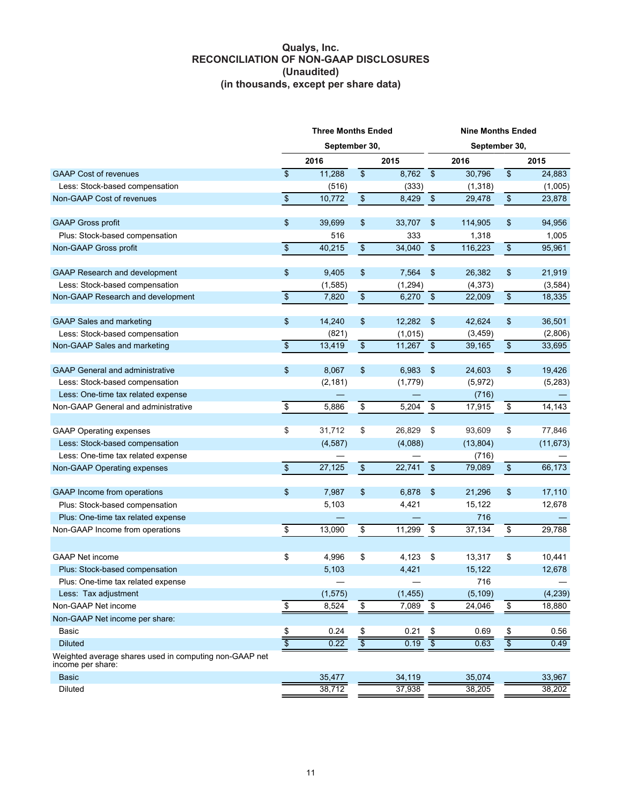#### **Qualys, Inc. RECONCILIATION OF NON-GAAP DISCLOSURES (Unaudited) (in thousands, except per share data)**

|                                                                             | <b>Three Months Ended</b> |               |               | <b>Nine Months Ended</b> |                          |           |                         |           |
|-----------------------------------------------------------------------------|---------------------------|---------------|---------------|--------------------------|--------------------------|-----------|-------------------------|-----------|
|                                                                             |                           | September 30, |               |                          | September 30,            |           |                         |           |
|                                                                             |                           | 2016          |               | 2015                     |                          | 2016      |                         | 2015      |
| <b>GAAP Cost of revenues</b>                                                | \$                        | 11,288        | $\$\$         | 8,762                    | $\overline{\mathcal{F}}$ | 30,796    | $\sqrt[6]{\frac{1}{2}}$ | 24,883    |
| Less: Stock-based compensation                                              |                           | (516)         |               | (333)                    |                          | (1,318)   |                         | (1,005)   |
| Non-GAAP Cost of revenues                                                   | $\overline{\$}$           | 10,772        | $\,$          | 8,429                    | $\boldsymbol{\$}$        | 29,478    | $\,$                    | 23,878    |
| <b>GAAP Gross profit</b>                                                    | \$                        | 39,699        | \$            | 33,707                   | \$                       | 114,905   | \$                      | 94,956    |
| Plus: Stock-based compensation                                              |                           | 516           |               | 333                      |                          | 1,318     |                         | 1,005     |
| Non-GAAP Gross profit                                                       | $\bullet$                 | 40,215        | $\mathbb{S}$  | 34,040                   | \$                       | 116,223   | $\mathbb{S}$            | 95,961    |
| <b>GAAP Research and development</b>                                        | \$                        | 9,405         | \$            | 7,564                    | $\frac{1}{2}$            | 26,382    | \$                      | 21,919    |
| Less: Stock-based compensation                                              |                           | (1,585)       |               | (1, 294)                 |                          | (4,373)   |                         | (3,584)   |
| Non-GAAP Research and development                                           | $\, \, \mathbb{S} \,$     | 7,820         | $\,$          | 6,270                    | $\sqrt{3}$               | 22,009    | $\,$                    | 18,335    |
| GAAP Sales and marketing                                                    | \$                        | 14,240        | \$            | 12,282                   | $\sqrt[6]{\frac{1}{2}}$  | 42,624    | \$                      | 36,501    |
| Less: Stock-based compensation                                              |                           | (821)         |               | (1,015)                  |                          | (3,459)   |                         | (2,806)   |
| Non-GAAP Sales and marketing                                                | $\,$                      | 13,419        | $\,$          | $11,267$ \$              |                          | 39,165    | $\,$                    | 33,695    |
| <b>GAAP General and administrative</b>                                      | \$                        | 8,067         | \$            | 6,983                    | \$                       | 24,603    | \$                      | 19,426    |
| Less: Stock-based compensation                                              |                           | (2, 181)      |               | (1,779)                  |                          | (5, 972)  |                         | (5,283)   |
| Less: One-time tax related expense                                          |                           |               |               |                          |                          | (716)     |                         |           |
| Non-GAAP General and administrative                                         | $\boldsymbol{\$}$         | 5,886         | \$            | 5,204                    | \$                       | 17,915    | \$                      | 14,143    |
| <b>GAAP Operating expenses</b>                                              | \$                        | 31,712        | \$            | 26,829                   | \$                       | 93,609    | \$                      | 77,846    |
| Less: Stock-based compensation                                              |                           | (4,587)       |               | (4,088)                  |                          | (13, 804) |                         | (11, 673) |
| Less: One-time tax related expense                                          |                           |               |               |                          |                          | (716)     |                         |           |
| Non-GAAP Operating expenses                                                 | $\,$                      | 27,125        | $\,$          | $22,741$ \$              |                          | 79,089    | $\,$                    | 66,173    |
| GAAP Income from operations                                                 | \$                        | 7,987         | \$            | 6,878                    | \$                       | 21,296    | \$                      | 17,110    |
| Plus: Stock-based compensation                                              |                           | 5,103         |               | 4,421                    |                          | 15,122    |                         | 12,678    |
| Plus: One-time tax related expense                                          |                           |               |               |                          |                          | 716       |                         |           |
| Non-GAAP Income from operations                                             | \$                        | 13,090        | \$            | 11,299                   | \$                       | 37,134    | \$                      | 29,788    |
|                                                                             |                           |               |               |                          |                          |           |                         |           |
| <b>GAAP Net income</b>                                                      | \$                        | 4,996         | \$            | 4,123                    | \$                       | 13,317    | \$                      | 10,441    |
| Plus: Stock-based compensation                                              |                           | 5,103         |               | 4,421                    |                          | 15,122    |                         | 12,678    |
| Plus: One-time tax related expense                                          |                           |               |               |                          |                          | 716       |                         |           |
| Less: Tax adjustment                                                        |                           | (1, 575)      |               | (1, 455)                 |                          | (5, 109)  |                         | (4, 239)  |
| Non-GAAP Net income                                                         | $\frac{3}{2}$             | 8,524         | $\frac{1}{2}$ | 7,089                    | \$                       | 24,046    | $\frac{1}{2}$           | 18,880    |
| Non-GAAP Net income per share:                                              |                           |               |               |                          |                          |           |                         |           |
| <b>Basic</b>                                                                | $rac{1}{\sqrt{2}}$        | 0.24          | \$            | 0.21                     | \$                       | 0.69      | $\frac{1}{2}$           | 0.56      |
| <b>Diluted</b>                                                              |                           | 0.22          |               | 0.19                     | <u>इ</u>                 | 0.63      |                         | 0.49      |
| Weighted average shares used in computing non-GAAP net<br>income per share: |                           |               |               |                          |                          |           |                         |           |
| <b>Basic</b>                                                                |                           | 35,477        |               | 34,119                   |                          | 35,074    |                         | 33,967    |
| Diluted                                                                     |                           | 38,712        |               | 37,938                   |                          | 38,205    |                         | 38,202    |